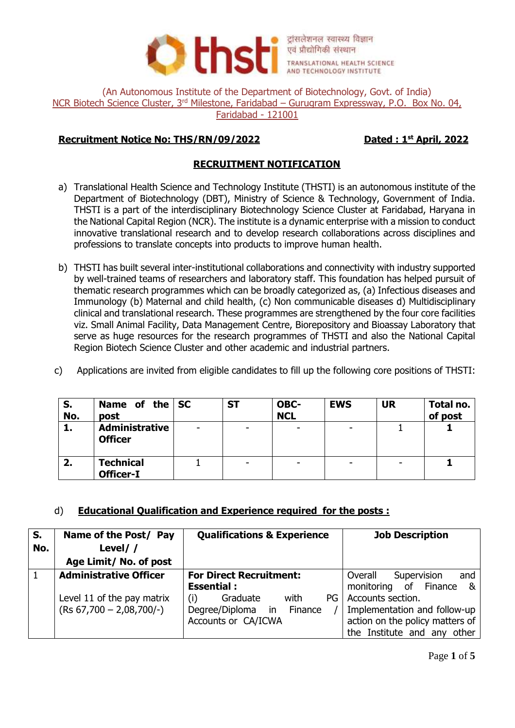

(An Autonomous Institute of the Department of Biotechnology, Govt. of India) NCR Biotech Science Cluster, 3<sup>rd</sup> Milestone, Faridabad – Gurugram Expressway, P.O. Box No. 04, Faridabad - 121001

## **Recruitment Notice No: THS/RN/09/2022**

# **Dated: 1st April, 2022**

## **RECRUITMENT NOTIFICATION**

- a) Translational Health Science and Technology Institute (THSTI) is an autonomous institute of the Department of Biotechnology (DBT), Ministry of Science & Technology, Government of India. THSTI is a part of the interdisciplinary Biotechnology Science Cluster at Faridabad, Haryana in the National Capital Region (NCR). The institute is a dynamic enterprise with a mission to conduct innovative translational research and to develop research collaborations across disciplines and professions to translate concepts into products to improve human health.
- b) THSTI has built several inter-institutional collaborations and connectivity with industry supported by well-trained teams of researchers and laboratory staff. This foundation has helped pursuit of thematic research programmes which can be broadly categorized as, (a) Infectious diseases and Immunology (b) Maternal and child health, (c) Non communicable diseases d) Multidisciplinary clinical and translational research. These programmes are strengthened by the four core facilities viz. Small Animal Facility, Data Management Centre, Biorepository and Bioassay Laboratory that serve as huge resources for the research programmes of THSTI and also the National Capital Region Biotech Science Cluster and other academic and industrial partners.
- c) Applications are invited from eligible candidates to fill up the following core positions of THSTI:

| S.<br>No. | Name of the SC<br>post                  | <b>ST</b> | OBC-<br><b>NCL</b> | <b>EWS</b> | <b>UR</b> | Total no.<br>of post |
|-----------|-----------------------------------------|-----------|--------------------|------------|-----------|----------------------|
| 1.        | <b>Administrative</b><br><b>Officer</b> |           |                    | ۰          |           |                      |
| 2.        | <b>Technical</b><br><b>Officer-I</b>    | -         |                    | ۰          |           |                      |

## d) **Educational Qualification and Experience required for the posts :**

| S.<br>No. | Name of the Post/ Pay<br>Level//<br>Age Limit/ No. of post | <b>Qualifications &amp; Experience</b>                                             | <b>Job Description</b>                                                                                              |
|-----------|------------------------------------------------------------|------------------------------------------------------------------------------------|---------------------------------------------------------------------------------------------------------------------|
|           | <b>Administrative Officer</b>                              | <b>For Direct Recruitment:</b><br><b>Essential:</b>                                | Supervision<br>Overall<br>and<br>monitoring of Finance<br>&                                                         |
|           | Level 11 of the pay matrix<br>$(Rs 67,700 - 2,08,700/-)$   | (i)<br>Graduate<br>PG.<br>with<br>Degree/Diploma in Finance<br>Accounts or CA/ICWA | Accounts section.<br>Implementation and follow-up<br>action on the policy matters of<br>the Institute and any other |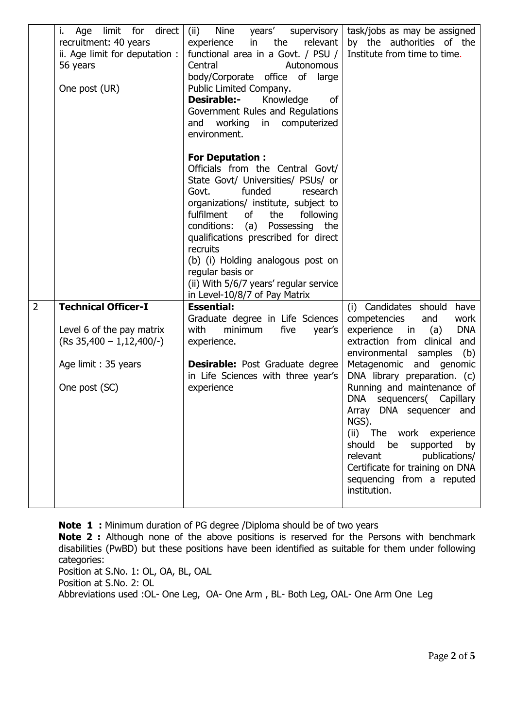|                | i.<br>limit for<br>direct<br>Age<br>recruitment: 40 years<br>ii. Age limit for deputation :<br>56 years<br>One post (UR)      | years'<br>Nine<br>supervisory  <br>(ii)<br>in<br>the<br>relevant  <br>experience<br>functional area in a Govt. / PSU /<br>Central<br>Autonomous<br>body/Corporate office of<br>large<br>Public Limited Company.<br><b>Desirable:-</b><br>Knowledge<br>0f<br>Government Rules and Regulations<br>working<br>computerized<br>and<br>in<br>environment.                                                                                            | task/jobs as may be assigned<br>by the authorities of the<br>Institute from time to time.                                                                                                                                                                                                                                                                                                                                                                                                                      |
|----------------|-------------------------------------------------------------------------------------------------------------------------------|-------------------------------------------------------------------------------------------------------------------------------------------------------------------------------------------------------------------------------------------------------------------------------------------------------------------------------------------------------------------------------------------------------------------------------------------------|----------------------------------------------------------------------------------------------------------------------------------------------------------------------------------------------------------------------------------------------------------------------------------------------------------------------------------------------------------------------------------------------------------------------------------------------------------------------------------------------------------------|
|                |                                                                                                                               | <b>For Deputation:</b><br>Officials from the Central Govt/<br>State Govt/ Universities/ PSUs/ or<br>funded<br>Govt.<br>research<br>organizations/ institute, subject to<br>fulfilment<br>the<br>of<br>following<br>conditions:<br>(a) Possessing<br>the<br>qualifications prescribed for direct<br>recruits<br>(b) (i) Holding analogous post on<br>regular basis or<br>(ii) With 5/6/7 years' regular service<br>in Level-10/8/7 of Pay Matrix |                                                                                                                                                                                                                                                                                                                                                                                                                                                                                                                |
| $\overline{2}$ | <b>Technical Officer-I</b><br>Level 6 of the pay matrix<br>$(Rs 35,400 - 1,12,400/-)$<br>Age limit: 35 years<br>One post (SC) | <b>Essential:</b><br>Graduate degree in Life Sciences<br>with<br>minimum<br>five<br>year's<br>experience.<br><b>Desirable:</b> Post Graduate degree<br>in Life Sciences with three year's<br>experience                                                                                                                                                                                                                                         | (i) Candidates should<br>have<br>competencies<br>and<br>work<br><b>DNA</b><br>experience<br>in<br>(a)<br>extraction from clinical and<br>environmental samples<br>(b)<br>Metagenomic and genomic<br>DNA library preparation. (c)<br>Running and maintenance of<br>sequencers( Capillary<br>DNA<br>Array DNA sequencer and<br>NGS).<br>(ii) The work experience<br>should<br>be<br>supported<br>by<br>relevant<br>publications/<br>Certificate for training on DNA<br>sequencing from a reputed<br>institution. |

**Note 1 :** Minimum duration of PG degree /Diploma should be of two years

**Note 2 :** Although none of the above positions is reserved for the Persons with benchmark disabilities (PwBD) but these positions have been identified as suitable for them under following categories:

Position at S.No. 1: OL, OA, BL, OAL Position at S.No. 2: OL Abbreviations used :OL- One Leg, OA- One Arm , BL- Both Leg, OAL- One Arm One Leg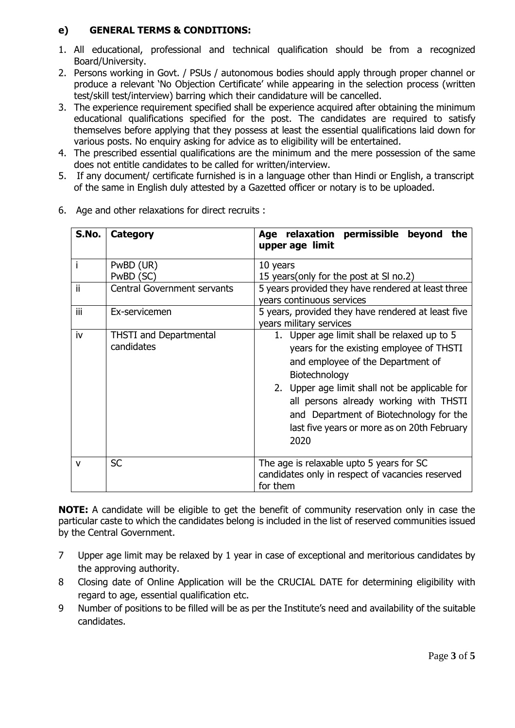# **e) GENERAL TERMS & CONDITIONS:**

- 1. All educational, professional and technical qualification should be from a recognized Board/University.
- 2. Persons working in Govt. / PSUs / autonomous bodies should apply through proper channel or produce a relevant 'No Objection Certificate' while appearing in the selection process (written test/skill test/interview) barring which their candidature will be cancelled.
- 3. The experience requirement specified shall be experience acquired after obtaining the minimum educational qualifications specified for the post. The candidates are required to satisfy themselves before applying that they possess at least the essential qualifications laid down for various posts. No enquiry asking for advice as to eligibility will be entertained.
- 4. The prescribed essential qualifications are the minimum and the mere possession of the same does not entitle candidates to be called for written/interview.
- 5. If any document/ certificate furnished is in a language other than Hindi or English, a transcript of the same in English duly attested by a Gazetted officer or notary is to be uploaded.

| S.No.        | <b>Category</b>                             | Age relaxation permissible beyond<br>the<br>upper age limit                                                                                                                                                                                                                                                                                 |  |
|--------------|---------------------------------------------|---------------------------------------------------------------------------------------------------------------------------------------------------------------------------------------------------------------------------------------------------------------------------------------------------------------------------------------------|--|
|              | PwBD (UR)<br>PwBD (SC)                      | 10 years<br>15 years (only for the post at SI no.2)                                                                                                                                                                                                                                                                                         |  |
| ii           | <b>Central Government servants</b>          | 5 years provided they have rendered at least three<br>years continuous services                                                                                                                                                                                                                                                             |  |
| iii          | Ex-servicemen                               | 5 years, provided they have rendered at least five<br>years military services                                                                                                                                                                                                                                                               |  |
| iv           | <b>THSTI</b> and Departmental<br>candidates | 1. Upper age limit shall be relaxed up to 5<br>years for the existing employee of THSTI<br>and employee of the Department of<br>Biotechnology<br>2. Upper age limit shall not be applicable for<br>all persons already working with THSTI<br>and Department of Biotechnology for the<br>last five years or more as on 20th February<br>2020 |  |
| $\mathsf{v}$ | <b>SC</b>                                   | The age is relaxable upto 5 years for SC<br>candidates only in respect of vacancies reserved<br>for them                                                                                                                                                                                                                                    |  |

6. Age and other relaxations for direct recruits :

**NOTE:** A candidate will be eligible to get the benefit of community reservation only in case the particular caste to which the candidates belong is included in the list of reserved communities issued by the Central Government.

- 7 Upper age limit may be relaxed by 1 year in case of exceptional and meritorious candidates by the approving authority.
- 8 Closing date of Online Application will be the CRUCIAL DATE for determining eligibility with regard to age, essential qualification etc.
- 9 Number of positions to be filled will be as per the Institute's need and availability of the suitable candidates.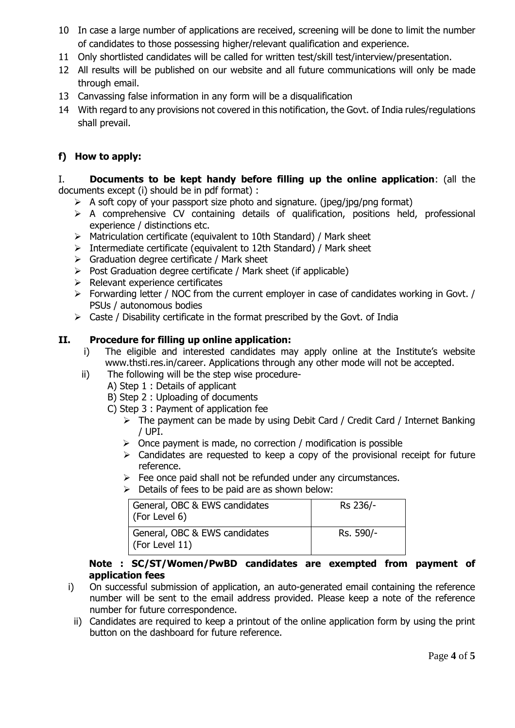- 10 In case a large number of applications are received, screening will be done to limit the number of candidates to those possessing higher/relevant qualification and experience.
- 11 Only shortlisted candidates will be called for written test/skill test/interview/presentation.
- 12 All results will be published on our website and all future communications will only be made through email.
- 13 Canvassing false information in any form will be a disqualification
- 14 With regard to any provisions not covered in this notification, the Govt. of India rules/regulations shall prevail.

# **f) How to apply:**

#### I. **Documents to be kept handy before filling up the online application**: (all the documents except (i) should be in pdf format) :

- $\triangleright$  A soft copy of your passport size photo and signature. (jpeg/jpg/png format)
- $\triangleright$  A comprehensive CV containing details of qualification, positions held, professional experience / distinctions etc.
- $\triangleright$  Matriculation certificate (equivalent to 10th Standard) / Mark sheet
- $\triangleright$  Intermediate certificate (equivalent to 12th Standard) / Mark sheet
- $\triangleright$  Graduation degree certificate / Mark sheet
- $\triangleright$  Post Graduation degree certificate / Mark sheet (if applicable)
- $\triangleright$  Relevant experience certificates
- $\triangleright$  Forwarding letter / NOC from the current employer in case of candidates working in Govt. / PSUs / autonomous bodies
- $\triangleright$  Caste / Disability certificate in the format prescribed by the Govt. of India

## **II. Procedure for filling up online application:**

- i) The eligible and interested candidates may apply online at the Institute's website [www.thsti.res.in/career.](http://www.thsti.res.in/career) Applications through any other mode will not be accepted.
- ii) The following will be the step wise procedure-
	- A) Step 1 : Details of applicant
		- B) Step 2 : Uploading of documents
		- C) Step 3 : Payment of application fee
			- $\triangleright$  The payment can be made by using Debit Card / Credit Card / Internet Banking / UPI.
			- $\triangleright$  Once payment is made, no correction / modification is possible
			- $\triangleright$  Candidates are requested to keep a copy of the provisional receipt for future reference.
			- $\triangleright$  Fee once paid shall not be refunded under any circumstances.
			- $\triangleright$  Details of fees to be paid are as shown below:

| General, OBC & EWS candidates<br>$\mid$ (For Level 6)   | Rs 236/-  |
|---------------------------------------------------------|-----------|
| General, OBC & EWS candidates<br>$\vert$ (For Level 11) | Rs. 590/- |

### **Note : SC/ST/Women/PwBD candidates are exempted from payment of application fees**

- i) On successful submission of application, an auto-generated email containing the reference number will be sent to the email address provided. Please keep a note of the reference number for future correspondence.
	- ii) Candidates are required to keep a printout of the online application form by using the print button on the dashboard for future reference.